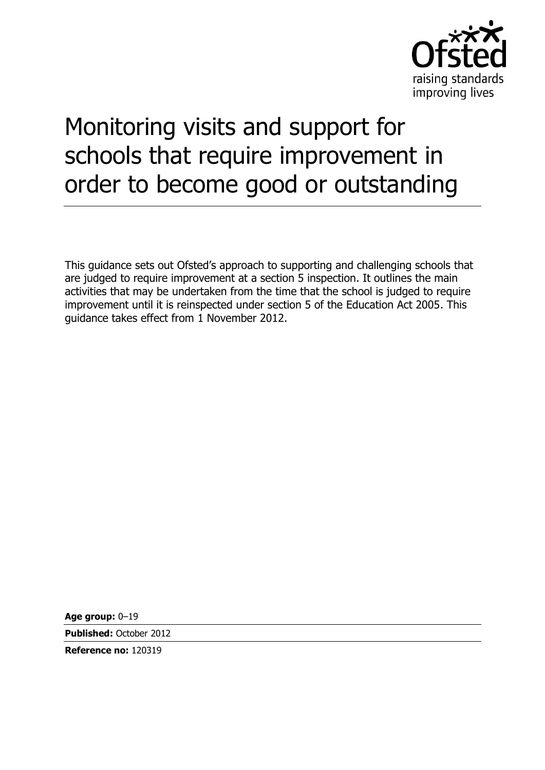

# Monitoring visits and support for schools that require improvement in order to become good or outstanding

This guidance sets out Ofsted's approach to supporting and challenging schools that are judged to require improvement at a section 5 inspection. It outlines the main activities that may be undertaken from the time that the school is judged to require improvement until it is reinspected under section 5 of the Education Act 2005. This guidance takes effect from 1 November 2012.

**Age group:** 0–19

**Published:** October 2012

**Reference no:** 120319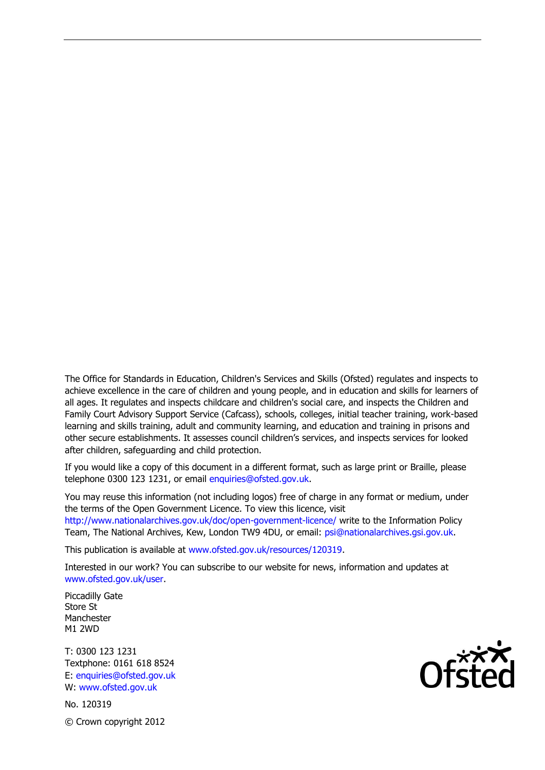The Office for Standards in Education, Children's Services and Skills (Ofsted) regulates and inspects to achieve excellence in the care of children and young people, and in education and skills for learners of all ages. It regulates and inspects childcare and children's social care, and inspects the Children and Family Court Advisory Support Service (Cafcass), schools, colleges, initial teacher training, work-based learning and skills training, adult and community learning, and education and training in prisons and other secure establishments. It assesses council children's services, and inspects services for looked after children, safeguarding and child protection.

If you would like a copy of this document in a different format, such as large print or Braille, please telephone 0300 123 1231, or email enquiries@ofsted.gov.uk.

You may reuse this information (not including logos) free of charge in any format or medium, under the terms of the Open Government Licence. To view this licence, visit http://www.nationalarchives.gov.uk/doc/open-government-licence/ write to the Information Policy Team, The National Archives, Kew, London TW9 4DU, or email: psi@nationalarchives.gsi.gov.uk.

This publication is available at www.ofsted.gov.uk/resources/120319.

Interested in our work? You can subscribe to our website for news, information and updates at www.ofsted.gov.uk/user.

Piccadilly Gate Store St Manchester M1 2WD

T: 0300 123 1231 Textphone: 0161 618 8524 E: enquiries@ofsted.gov.uk W: www.ofsted.gov.uk

No. 120319 © Crown copyright 2012

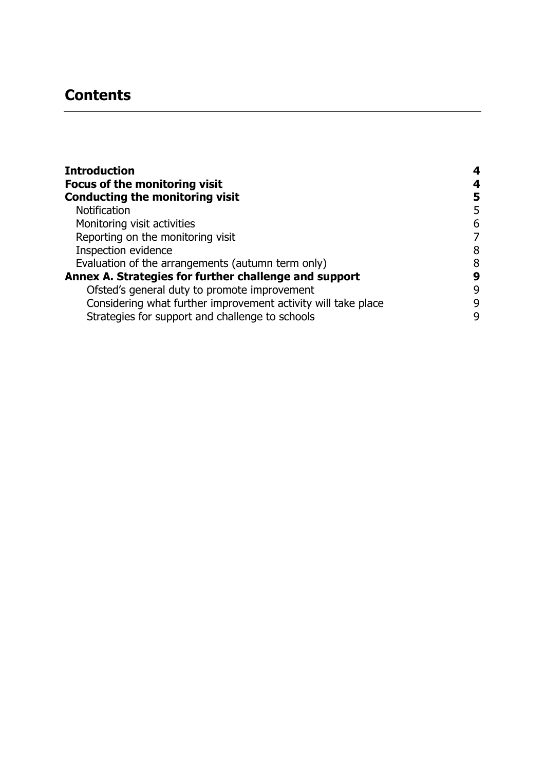# **Contents**

| <b>Introduction</b>                                           |   |
|---------------------------------------------------------------|---|
| <b>Focus of the monitoring visit</b>                          | 4 |
| <b>Conducting the monitoring visit</b>                        | 5 |
| <b>Notification</b>                                           | 5 |
| Monitoring visit activities                                   | 6 |
| Reporting on the monitoring visit                             | 7 |
| Inspection evidence                                           | 8 |
| Evaluation of the arrangements (autumn term only)             | 8 |
| Annex A. Strategies for further challenge and support         | 9 |
| Ofsted's general duty to promote improvement                  | 9 |
| Considering what further improvement activity will take place | 9 |
| Strategies for support and challenge to schools               | 9 |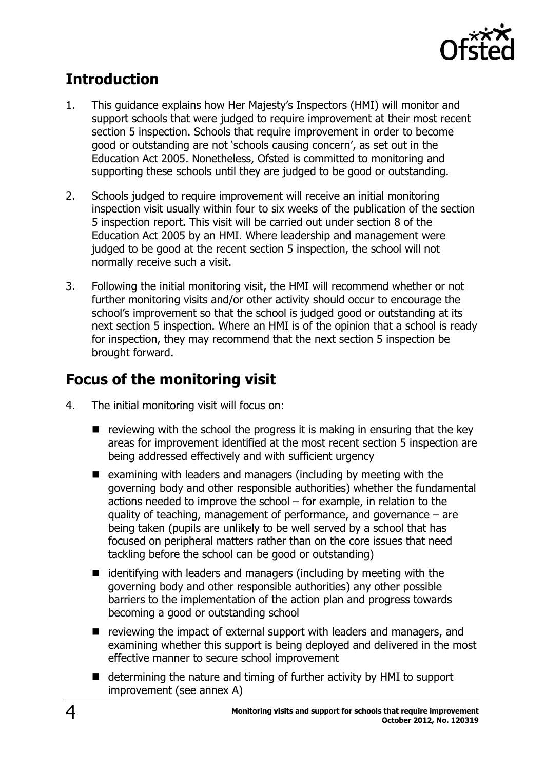

# <span id="page-3-0"></span>**Introduction**

- 1. This guidance explains how Her Majesty's Inspectors (HMI) will monitor and support schools that were judged to require improvement at their most recent section 5 inspection. Schools that require improvement in order to become good or outstanding are not 'schools causing concern', as set out in the Education Act 2005. Nonetheless, Ofsted is committed to monitoring and supporting these schools until they are judged to be good or outstanding.
- 2. Schools judged to require improvement will receive an initial monitoring inspection visit usually within four to six weeks of the publication of the section 5 inspection report. This visit will be carried out under section 8 of the Education Act 2005 by an HMI. Where leadership and management were judged to be good at the recent section 5 inspection, the school will not normally receive such a visit.
- 3. Following the initial monitoring visit, the HMI will recommend whether or not further monitoring visits and/or other activity should occur to encourage the school's improvement so that the school is judged good or outstanding at its next section 5 inspection. Where an HMI is of the opinion that a school is ready for inspection, they may recommend that the next section 5 inspection be brought forward.

# <span id="page-3-1"></span>**Focus of the monitoring visit**

- 4. The initial monitoring visit will focus on:
	- $\blacksquare$  reviewing with the school the progress it is making in ensuring that the key areas for improvement identified at the most recent section 5 inspection are being addressed effectively and with sufficient urgency
	- $\blacksquare$  examining with leaders and managers (including by meeting with the governing body and other responsible authorities) whether the fundamental actions needed to improve the school – for example, in relation to the quality of teaching, management of performance, and governance – are being taken (pupils are unlikely to be well served by a school that has focused on peripheral matters rather than on the core issues that need tackling before the school can be good or outstanding)
	- $\blacksquare$  identifying with leaders and managers (including by meeting with the governing body and other responsible authorities) any other possible barriers to the implementation of the action plan and progress towards becoming a good or outstanding school
	- $\blacksquare$  reviewing the impact of external support with leaders and managers, and examining whether this support is being deployed and delivered in the most effective manner to secure school improvement
	- $\blacksquare$  determining the nature and timing of further activity by HMI to support improvement (see annex A)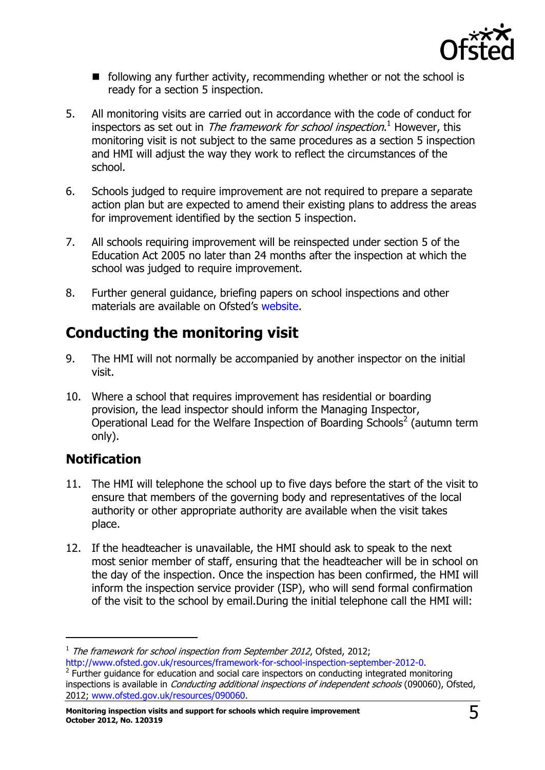

- $\blacksquare$  following any further activity, recommending whether or not the school is ready for a section 5 inspection.
- 5. All monitoring visits are carried out in accordance with the code of conduct for inspectors as set out in *The framework for school inspection*.<sup>1</sup> However, this monitoring visit is not subject to the same procedures as a section 5 inspection and HMI will adjust the way they work to reflect the circumstances of the school.
- 6. Schools judged to require improvement are not required to prepare a separate action plan but are expected to amend their existing plans to address the areas for improvement identified by the section 5 inspection.
- 7. All schools requiring improvement will be reinspected under section 5 of the Education Act 2005 no later than 24 months after the inspection at which the school was judged to require improvement.
- 8. Further general guidance, briefing papers on school inspections and other materials are available on Ofsted's [website.](http://www.ofsted.gov.uk/schools/for-schools/inspecting-schools/inspecting-maintained-schools/main-inspection-documents-for-inspectors)

# <span id="page-4-0"></span>**Conducting the monitoring visit**

- 9. The HMI will not normally be accompanied by another inspector on the initial visit.
- 10. Where a school that requires improvement has residential or boarding provision, the lead inspector should inform the Managing Inspector, Operational Lead for the Welfare Inspection of Boarding Schools<sup>2</sup> (autumn term only).

## <span id="page-4-1"></span>**Notification**

-

- 11. The HMI will telephone the school up to five days before the start of the visit to ensure that members of the governing body and representatives of the local authority or other appropriate authority are available when the visit takes place.
- 12. If the headteacher is unavailable, the HMI should ask to speak to the next most senior member of staff, ensuring that the headteacher will be in school on the day of the inspection. Once the inspection has been confirmed, the HMI will inform the inspection service provider (ISP), who will send formal confirmation of the visit to the school by email.During the initial telephone call the HMI will:

 $1$  The framework for school inspection from September 2012, Ofsted, 2012; [http://www.ofsted.gov.uk/resources/framework-for-school-inspection-september-2012-0.](http://www.ofsted.gov.uk/resources/framework-for-school-inspection-september-2012-0)

 $2$  Further guidance for education and social care inspectors on conducting integrated monitoring inspections is available in *Conducting additional inspections of independent schools* (090060), Ofsted, 2012; [www.ofsted.gov.uk/resources/090060.](http://www.ofsted.gov.uk/resources/090060)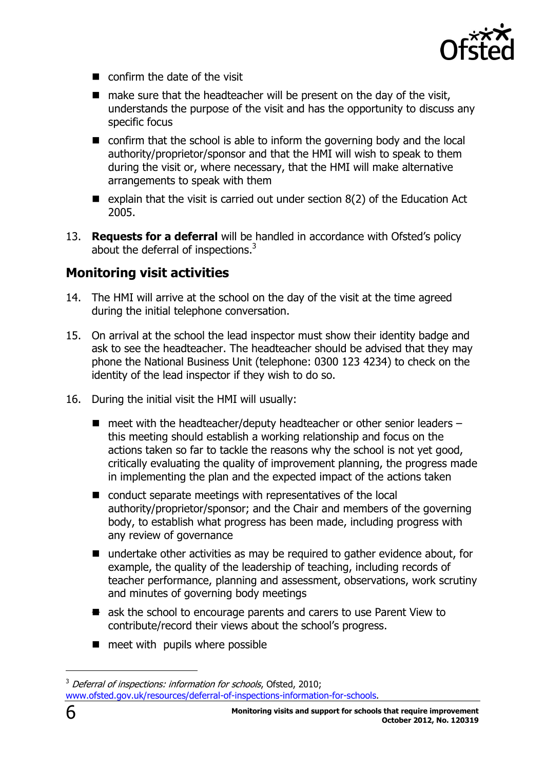

- $\blacksquare$  confirm the date of the visit
- $\blacksquare$  make sure that the headteacher will be present on the day of the visit, understands the purpose of the visit and has the opportunity to discuss any specific focus
- confirm that the school is able to inform the governing body and the local authority/proprietor/sponsor and that the HMI will wish to speak to them during the visit or, where necessary, that the HMI will make alternative arrangements to speak with them
- explain that the visit is carried out under section  $8(2)$  of the Education Act 2005.
- 13. **Requests for a deferral** will be handled in accordance with Ofsted's policy about the deferral of inspections.<sup>3</sup>

## <span id="page-5-0"></span>**Monitoring visit activities**

- 14. The HMI will arrive at the school on the day of the visit at the time agreed during the initial telephone conversation.
- 15. On arrival at the school the lead inspector must show their identity badge and ask to see the headteacher. The headteacher should be advised that they may phone the National Business Unit (telephone: 0300 123 4234) to check on the identity of the lead inspector if they wish to do so.
- 16. During the initial visit the HMI will usually:
	- $\blacksquare$  meet with the headteacher/deputy headteacher or other senior leaders this meeting should establish a working relationship and focus on the actions taken so far to tackle the reasons why the school is not yet good, critically evaluating the quality of improvement planning, the progress made in implementing the plan and the expected impact of the actions taken
	- conduct separate meetings with representatives of the local authority/proprietor/sponsor; and the Chair and members of the governing body, to establish what progress has been made, including progress with any review of governance
	- undertake other activities as may be required to gather evidence about, for example, the quality of the leadership of teaching, including records of teacher performance, planning and assessment, observations, work scrutiny and minutes of governing body meetings
	- $\blacksquare$  ask the school to encourage parents and carers to use Parent View to contribute/record their views about the school's progress.
	- $\blacksquare$  meet with pupils where possible

-

 $3$  Deferral of inspections: information for schools, Ofsted, 2010; [www.ofsted.gov.uk/resources/deferral-of-inspections-information-for-schools.](http://www.ofsted.gov.uk/resources/deferral-of-inspections-information-for-schools)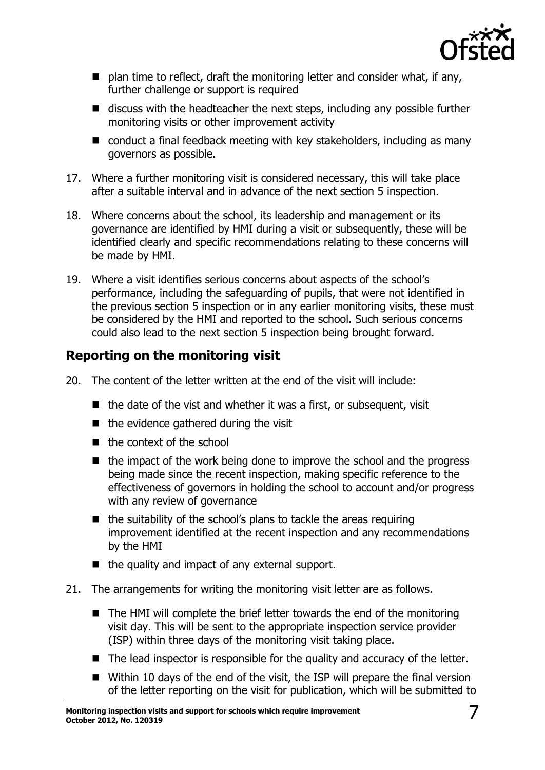

- $\blacksquare$  plan time to reflect, draft the monitoring letter and consider what, if any, further challenge or support is required
- discuss with the headteacher the next steps, including any possible further monitoring visits or other improvement activity
- $\blacksquare$  conduct a final feedback meeting with key stakeholders, including as many governors as possible.
- 17. Where a further monitoring visit is considered necessary, this will take place after a suitable interval and in advance of the next section 5 inspection.
- 18. Where concerns about the school, its leadership and management or its governance are identified by HMI during a visit or subsequently, these will be identified clearly and specific recommendations relating to these concerns will be made by HMI.
- 19. Where a visit identifies serious concerns about aspects of the school's performance, including the safeguarding of pupils, that were not identified in the previous section 5 inspection or in any earlier monitoring visits, these must be considered by the HMI and reported to the school. Such serious concerns could also lead to the next section 5 inspection being brought forward.

## <span id="page-6-0"></span>**Reporting on the monitoring visit**

- 20. The content of the letter written at the end of the visit will include:
	- $\blacksquare$  the date of the vist and whether it was a first, or subsequent, visit
	- $\blacksquare$  the evidence gathered during the visit
	- $\blacksquare$  the context of the school
	- $\blacksquare$  the impact of the work being done to improve the school and the progress being made since the recent inspection, making specific reference to the effectiveness of governors in holding the school to account and/or progress with any review of governance
	- $\blacksquare$  the suitability of the school's plans to tackle the areas requiring improvement identified at the recent inspection and any recommendations by the HMI
	- $\blacksquare$  the quality and impact of any external support.
- 21. The arrangements for writing the monitoring visit letter are as follows.
	- $\blacksquare$  The HMI will complete the brief letter towards the end of the monitoring visit day. This will be sent to the appropriate inspection service provider (ISP) within three days of the monitoring visit taking place.
	- The lead inspector is responsible for the quality and accuracy of the letter.
	- Within 10 days of the end of the visit, the ISP will prepare the final version of the letter reporting on the visit for publication, which will be submitted to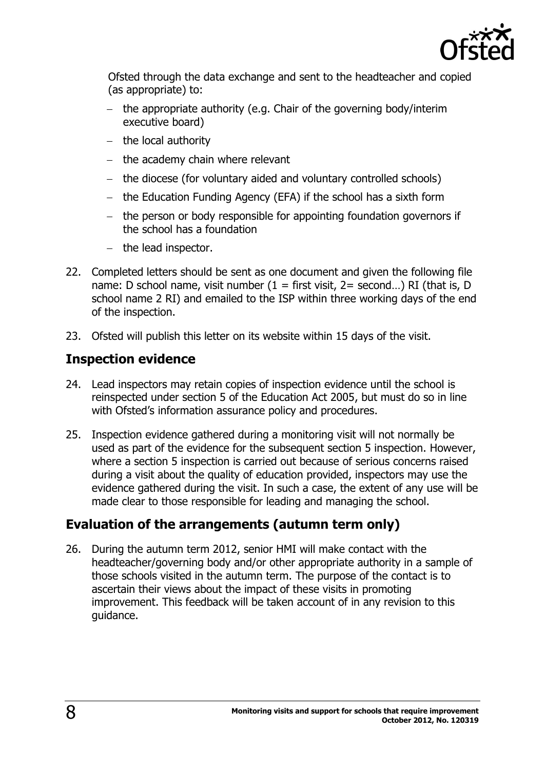

Ofsted through the data exchange and sent to the headteacher and copied (as appropriate) to:

- $-$  the appropriate authority (e.g. Chair of the governing body/interim executive board)
- $-$  the local authority
- $-$  the academy chain where relevant
- $-$  the diocese (for voluntary aided and voluntary controlled schools)
- the Education Funding Agency (EFA) if the school has a sixth form
- the person or body responsible for appointing foundation governors if the school has a foundation
- $-$  the lead inspector.
- 22. Completed letters should be sent as one document and given the following file name: D school name, visit number  $(1 =$  first visit,  $2 =$  second...) RI (that is, D school name 2 RI) and emailed to the ISP within three working days of the end of the inspection.
- 23. Ofsted will publish this letter on its website within 15 days of the visit.

#### <span id="page-7-0"></span>**Inspection evidence**

- 24. Lead inspectors may retain copies of inspection evidence until the school is reinspected under section 5 of the Education Act 2005, but must do so in line with Ofsted's information assurance policy and procedures.
- 25. Inspection evidence gathered during a monitoring visit will not normally be used as part of the evidence for the subsequent section 5 inspection. However, where a section 5 inspection is carried out because of serious concerns raised during a visit about the quality of education provided, inspectors may use the evidence gathered during the visit. In such a case, the extent of any use will be made clear to those responsible for leading and managing the school.

## <span id="page-7-1"></span>**Evaluation of the arrangements (autumn term only)**

26. During the autumn term 2012, senior HMI will make contact with the headteacher/governing body and/or other appropriate authority in a sample of those schools visited in the autumn term. The purpose of the contact is to ascertain their views about the impact of these visits in promoting improvement. This feedback will be taken account of in any revision to this guidance.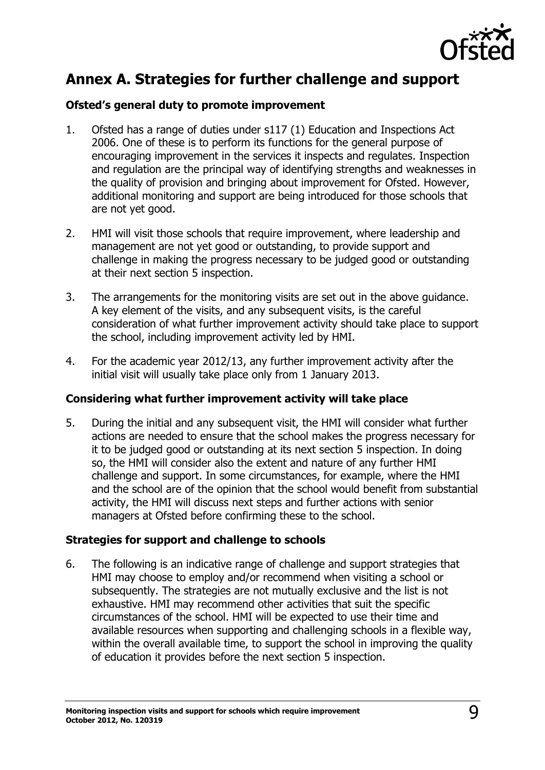

## <span id="page-8-0"></span>**Annex A. Strategies for further challenge and support**

#### <span id="page-8-1"></span>**Ofsted's general duty to promote improvement**

- 1. Ofsted has a range of duties under s117 (1) Education and Inspections Act 2006. One of these is to perform its functions for the general purpose of encouraging improvement in the services it inspects and regulates. Inspection and regulation are the principal way of identifying strengths and weaknesses in the quality of provision and bringing about improvement for Ofsted. However, additional monitoring and support are being introduced for those schools that are not yet good.
- 2. HMI will visit those schools that require improvement, where leadership and management are not yet good or outstanding, to provide support and challenge in making the progress necessary to be judged good or outstanding at their next section 5 inspection.
- 3. The arrangements for the monitoring visits are set out in the above guidance. A key element of the visits, and any subsequent visits, is the careful consideration of what further improvement activity should take place to support the school, including improvement activity led by HMI.
- 4. For the academic year 2012/13, any further improvement activity after the initial visit will usually take place only from 1 January 2013.

#### <span id="page-8-2"></span>**Considering what further improvement activity will take place**

5. During the initial and any subsequent visit, the HMI will consider what further actions are needed to ensure that the school makes the progress necessary for it to be judged good or outstanding at its next section 5 inspection. In doing so, the HMI will consider also the extent and nature of any further HMI challenge and support. In some circumstances, for example, where the HMI and the school are of the opinion that the school would benefit from substantial activity, the HMI will discuss next steps and further actions with senior managers at Ofsted before confirming these to the school.

#### <span id="page-8-3"></span>**Strategies for support and challenge to schools**

6. The following is an indicative range of challenge and support strategies that HMI may choose to employ and/or recommend when visiting a school or subsequently. The strategies are not mutually exclusive and the list is not exhaustive. HMI may recommend other activities that suit the specific circumstances of the school. HMI will be expected to use their time and available resources when supporting and challenging schools in a flexible way, within the overall available time, to support the school in improving the quality of education it provides before the next section 5 inspection.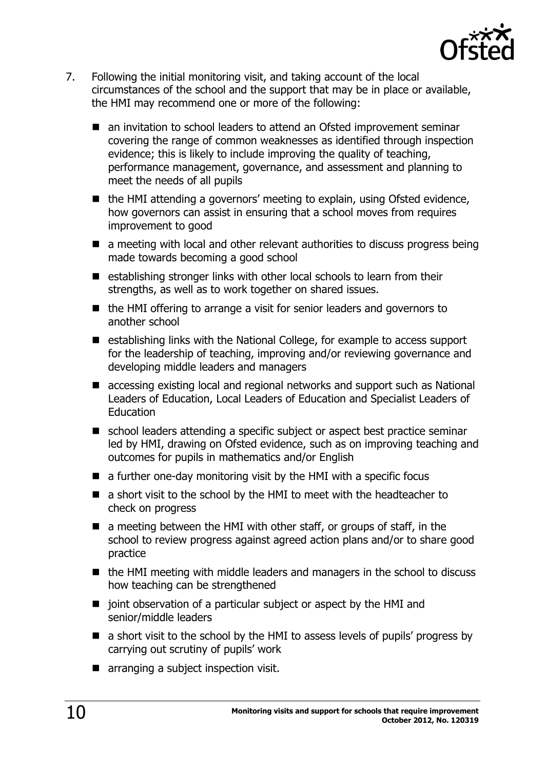

- 7. Following the initial monitoring visit, and taking account of the local circumstances of the school and the support that may be in place or available, the HMI may recommend one or more of the following:
	- an invitation to school leaders to attend an Ofsted improvement seminar covering the range of common weaknesses as identified through inspection evidence; this is likely to include improving the quality of teaching, performance management, governance, and assessment and planning to meet the needs of all pupils
	- the HMI attending a governors' meeting to explain, using Ofsted evidence, how governors can assist in ensuring that a school moves from requires improvement to good
	- a meeting with local and other relevant authorities to discuss progress being made towards becoming a good school
	- $\blacksquare$  establishing stronger links with other local schools to learn from their strengths, as well as to work together on shared issues.
	- $\blacksquare$  the HMI offering to arrange a visit for senior leaders and governors to another school
	- establishing links with the National College, for example to access support for the leadership of teaching, improving and/or reviewing governance and developing middle leaders and managers
	- accessing existing local and regional networks and support such as National Leaders of Education, Local Leaders of Education and Specialist Leaders of Education
	- school leaders attending a specific subject or aspect best practice seminar led by HMI, drawing on Ofsted evidence, such as on improving teaching and outcomes for pupils in mathematics and/or English
	- $\blacksquare$  a further one-day monitoring visit by the HMI with a specific focus
	- a short visit to the school by the HMI to meet with the headteacher to check on progress
	- $\blacksquare$  a meeting between the HMI with other staff, or groups of staff, in the school to review progress against agreed action plans and/or to share good practice
	- $\blacksquare$  the HMI meeting with middle leaders and managers in the school to discuss how teaching can be strengthened
	- joint observation of a particular subject or aspect by the HMI and senior/middle leaders
	- a short visit to the school by the HMI to assess levels of pupils' progress by carrying out scrutiny of pupils' work
	- **arranging a subject inspection visit.**